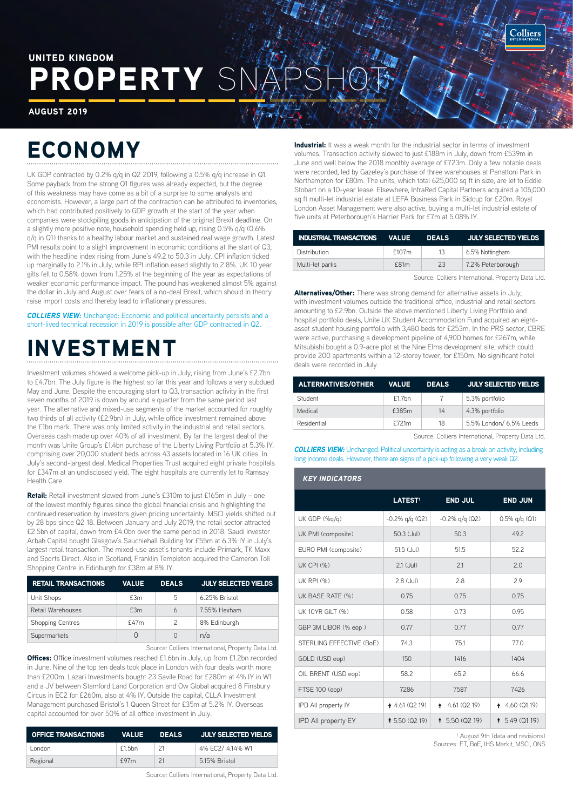ROPERTY S UNITED KINGDOM

AUGUST 2019

# ECONOMY

UK GDP contracted by 0.2% g/g in Q2 2019, following a 0.5% g/g increase in Q1. Some payback from the strong Q1 figures was already expected, but the degree of this weakness may have come as a bit of a surprise to some analysts and economists. However, a large part of the contraction can be attributed to inventories, which had contributed positively to GDP growth at the start of the year when companies were stockpiling goods in anticipation of the original Brexit deadline. On a slightly more positive note, household spending held up, rising 0.5% q/q (0.6% q/q in Q1) thanks to a healthy labour market and sustained real wage growth. Latest PMI results point to a slight improvement in economic conditions at the start of Q3, with the headline index rising from June's 49.2 to 50.3 in July. CPI inflation ticked up marginally to 2.1% in July, while RPI inflation eased slightly to 2.8%. UK 10 year gilts fell to 0.58% down from 1.25% at the beginning of the year as expectations of weaker economic performance impact. The pound has weakened almost 5% against the dollar in July and August over fears of a no-deal Brexit, which should in theory raise import costs and thereby lead to inflationary pressures.

**COLLIERS VIEW:** Unchanged: Economic and political uncertainty persists and a short-lived technical recession in 2019 is possible after GDP contracted in Q2.

## INVESTMENT

Investment volumes showed a welcome pick-up in July, rising from June's £2.7bn to £4.7bn. The July figure is the highest so far this year and follows a very subdued May and June. Despite the encouraging start to Q3, transaction activity in the first seven months of 2019 is down by around a quarter from the same period last year. The alternative and mixed-use segments of the market accounted for roughly two thirds of all activity (£2.9bn) in July, while office investment remained above the £1bn mark. There was only limited activity in the industrial and retail sectors. Overseas cash made up over 40% of all investment. By far the largest deal of the month was Unite Group's £1.4bn purchase of the Liberty Living Portfolio at 5.3% IY, comprising over 20,000 student beds across 43 assets located in 16 UK cities. In July's second-largest deal, Medical Properties Trust acquired eight private hospitals for £347m at an undisclosed yield. The eight hospitals are currently let to Ramsay Health Care.

Retail: Retail investment slowed from June's £310m to just £165m in July - one of the lowest monthly figures since the global financial crisis and highlighting the continued reservation by investors given pricing uncertainty. MSCI yields shifted out by 28 bps since Q2 18. Between January and July 2019, the retail sector attracted £2.5bn of capital, down from £4.0bn over the same period in 2018. Saudi investor Arbah Capital bought Glasgow's Sauchiehall Building for £55m at 6.3% IY in July's largest retail transaction. The mixed-use asset's tenants include Primark, TK Maxx and Sports Direct. Also in Scotland, Franklin Templeton acquired the Cameron Toll Shopping Centre in Edinburgh for £38m at 8% IY.

| <b>RETAIL TRANSACTIONS</b> | <b>VALUE</b> | <b>DEALS</b>  | <b>JULY SELECTED YIELDS</b> |  |
|----------------------------|--------------|---------------|-----------------------------|--|
| Unit Shops                 | £3m          | 5             | 6.25% Bristol               |  |
| Retail Warehouses          | £3m          | 6             | 7.55% Hexham                |  |
| <b>Shopping Centres</b>    | £47m         | $\mathcal{P}$ | 8% Edinburgh                |  |
| Supermarkets               | O            |               | n/a                         |  |

Source: Colliers International, Property Data Ltd.

**Offices:** Office investment volumes reached £1.6bn in July, up from £1.2bn recorded in June. Nine of the top ten deals took place in London with four deals worth more than £200m. Lazari Investments bought 23 Savile Road for £280m at 4% IY in W1 and a JV between Stamford Land Corporation and Ow Global acquired 8 Finsbury Circus in EC2 for £260m, also at 4% IY. Outside the capital, CLLA Investment Management purchased Bristol's 1 Queen Street for £35m at 5.2% IY. Overseas capital accounted for over 50% of all office investment in July.

| OFFICE TRANSACTIONS | VALUE  | <b>DEALS</b> | JULY SELECTED YIELDS |  |
|---------------------|--------|--------------|----------------------|--|
| London              | f1.5bn | 21           | 4% EC2/ 4.14% W1     |  |
| Regional            | f97m   | 21           | 5.15% Bristol        |  |

Source: Colliers International, Property Data Ltd.

Industrial: It was a weak month for the industrial sector in terms of investment volumes. Transaction activity slowed to just £188m in July, down from £539m in June and well below the 2018 monthly average of £723m. Only a few notable deals were recorded, led by Gazeley's purchase of three warehouses at Panattoni Park in Northampton for £80m. The units, which total 625,000 sq ft in size, are let to Eddie Stobart on a 10-year lease. Elsewhere, InfraRed Capital Partners acquired a 105,000 sq ft multi-let industrial estate at LEFA Business Park in Sidcup for £20m. Royal London Asset Management were also active, buying a multi-let industrial estate of five units at Peterborough's Harrier Park for £7m at 5.08% IY.

| INDUSTRIAL TRANSACTIONS VALUE |       | <b>DEALS</b> | JULY SELECTED YIELDS |
|-------------------------------|-------|--------------|----------------------|
| Distribution                  | £107m | 13           | 6.5% Nottingham      |
| Multi-let parks               | f81m  | 23           | 7.2% Peterborough    |
|                               |       |              |                      |

Source: Colliers International, Property Data Ltd.

Alternatives/Other: There was strong demand for alternative assets in July, with investment volumes outside the traditional office, industrial and retail sectors amounting to £2.9bn. Outside the above mentioned Liberty Living Portfolio and hospital portfolio deals, Unite UK Student Accommodation Fund acquired an eightasset student housing portfolio with 3,480 beds for £253m. In the PRS sector, CBRE were active, purchasing a development pipeline of 4,900 homes for £267m, while Mitsubishi bought a 0.9-acre plot at the Nine Elms development site, which could provide 200 apartments within a 12-storey tower, for £150m. No significant hotel deals were recorded in July.

| <b>ALTERNATIVES/OTHER</b> | <b>VALUE</b> | <b>DEALS</b> | <b>JULY SELECTED YIELDS</b> |
|---------------------------|--------------|--------------|-----------------------------|
| Student                   | $f1.7$ bn    |              | 5.3% portfolio              |
| Medical                   | £385m        | 14           | 4.3% portfolio              |
| Residential               | £721m        | 18           | 5.5% London/ 6.5% Leeds     |

Source: Colliers International, Property Data Ltd.

*COLLIERS VIEW:* Unchanged. Political uncertainty is acting as a break on activity, including long income deals. However, there are signs of a pick-up following a very weak Q2.

#### *KEY INDICATORS*

|                            | LATEST <sup>1</sup>      | <b>END JUL</b>            | <b>END JUN</b>     |
|----------------------------|--------------------------|---------------------------|--------------------|
| UK GDP $(\%q/q)$           | $-0.2\%$ q/q (Q2)        | $-0.2\%$ q/q (Q2)         | $0.5\%$ q/q (Q1)   |
| UK PMI (composite)         | $50.3$ (Jul)             | 50.3                      | 49.2               |
| EURO PMI (composite)       | 51.5 (Jul)               | 51.5                      | 52.2               |
| <b>UK CPI (%)</b>          | $2.1$ ( $\text{Jul}$ )   | 2.1                       | 2.0                |
| UK RPI (%)                 | $2.8$ (Jul)              | 2.8                       | 2.9                |
| UK BASE RATE (%)           | 0.75                     | 0.75                      | 0.75               |
| UK 10YR GILT (%)           | 0.58                     | 0.73                      | 0.95               |
| GBP 3M LIBOR (% eop)       | 0.77                     | 0.77                      | 0.77               |
| STERLING EFFECTIVE (BoE)   | 74.3                     | 75.1                      | 77.0               |
| GOLD (USD eop)             | 150                      | 1416                      | 1404               |
| OIL BRENT (USD eop)        | 58.2                     | 65.2                      | 66.6               |
| FTSE 100 (eop)             | 7286                     | 7587                      | 7426               |
| IPD All property IY        | $4.61$ (Q2 19)           | 4.61 (Q2 19)<br>$\bullet$ | 4.60 (Q1 19)<br>∔. |
| <b>IPD All property EY</b> | <b>1</b> 5.50 ( $Q2$ 19) | <b>1</b> 5.50 ( $Q2$ 19)  | 15.49(0119)        |

<sup>1</sup> August 9th (data and revisions) Sources: FT, BoE, IHS Markit, MSCI, ONS